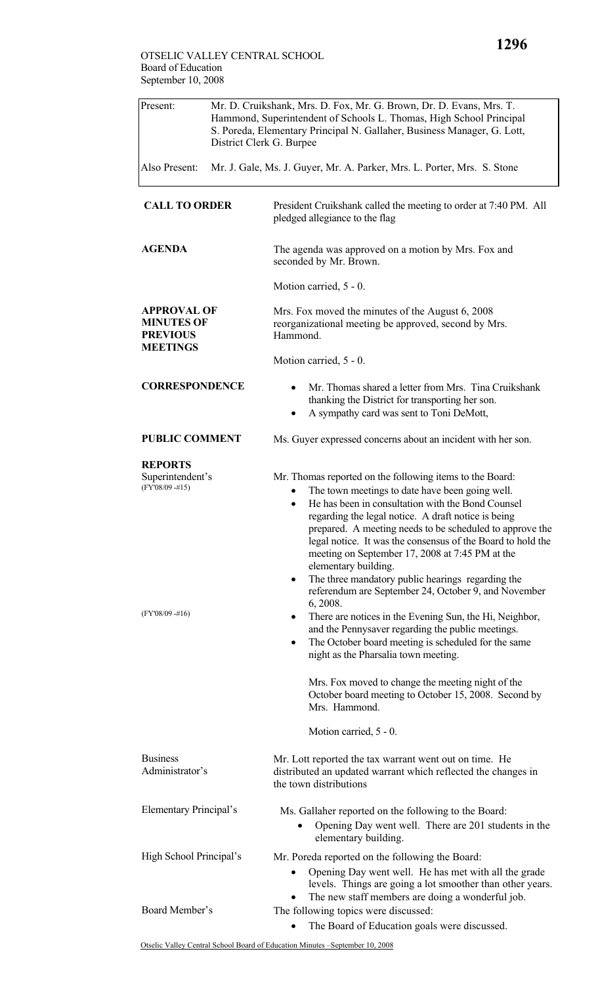| Present:                                                                      | Mr. D. Cruikshank, Mrs. D. Fox, Mr. G. Brown, Dr. D. Evans, Mrs. T.<br>Hammond, Superintendent of Schools L. Thomas, High School Principal<br>S. Poreda, Elementary Principal N. Gallaher, Business Manager, G. Lott,<br>District Clerk G. Burpee<br>Mr. J. Gale, Ms. J. Guyer, Mr. A. Parker, Mrs. L. Porter, Mrs. S. Stone |                                                                                                                                                                                                                                                                                                                                                                                                                                 |  |
|-------------------------------------------------------------------------------|------------------------------------------------------------------------------------------------------------------------------------------------------------------------------------------------------------------------------------------------------------------------------------------------------------------------------|---------------------------------------------------------------------------------------------------------------------------------------------------------------------------------------------------------------------------------------------------------------------------------------------------------------------------------------------------------------------------------------------------------------------------------|--|
| Also Present:                                                                 |                                                                                                                                                                                                                                                                                                                              |                                                                                                                                                                                                                                                                                                                                                                                                                                 |  |
| <b>CALL TO ORDER</b>                                                          |                                                                                                                                                                                                                                                                                                                              | President Cruikshank called the meeting to order at 7:40 PM. All<br>pledged allegiance to the flag                                                                                                                                                                                                                                                                                                                              |  |
| <b>AGENDA</b>                                                                 |                                                                                                                                                                                                                                                                                                                              | The agenda was approved on a motion by Mrs. Fox and<br>seconded by Mr. Brown.                                                                                                                                                                                                                                                                                                                                                   |  |
|                                                                               |                                                                                                                                                                                                                                                                                                                              | Motion carried, 5 - 0.                                                                                                                                                                                                                                                                                                                                                                                                          |  |
| <b>APPROVAL OF</b><br><b>MINUTES OF</b><br><b>PREVIOUS</b><br><b>MEETINGS</b> |                                                                                                                                                                                                                                                                                                                              | Mrs. Fox moved the minutes of the August 6, 2008<br>reorganizational meeting be approved, second by Mrs.<br>Hammond.                                                                                                                                                                                                                                                                                                            |  |
|                                                                               |                                                                                                                                                                                                                                                                                                                              | Motion carried, 5 - 0.                                                                                                                                                                                                                                                                                                                                                                                                          |  |
| <b>CORRESPONDENCE</b>                                                         |                                                                                                                                                                                                                                                                                                                              | Mr. Thomas shared a letter from Mrs. Tina Cruikshank<br>thanking the District for transporting her son.<br>A sympathy card was sent to Toni DeMott,<br>٠                                                                                                                                                                                                                                                                        |  |
| <b>PUBLIC COMMENT</b>                                                         |                                                                                                                                                                                                                                                                                                                              | Ms. Guyer expressed concerns about an incident with her son.                                                                                                                                                                                                                                                                                                                                                                    |  |
| <b>REPORTS</b>                                                                |                                                                                                                                                                                                                                                                                                                              |                                                                                                                                                                                                                                                                                                                                                                                                                                 |  |
| Superintendent's<br>$(FY'08/09 - #15)$                                        |                                                                                                                                                                                                                                                                                                                              | Mr. Thomas reported on the following items to the Board:<br>The town meetings to date have been going well.<br>$\bullet$<br>He has been in consultation with the Bond Counsel<br>$\bullet$<br>regarding the legal notice. A draft notice is being<br>prepared. A meeting needs to be scheduled to approve the<br>legal notice. It was the consensus of the Board to hold the<br>meeting on September 17, 2008 at 7:45 PM at the |  |
| $(FY'08/09 - #16)$                                                            |                                                                                                                                                                                                                                                                                                                              | elementary building.<br>The three mandatory public hearings regarding the<br>٠<br>referendum are September 24, October 9, and November<br>6, 2008.<br>There are notices in the Evening Sun, the Hi, Neighbor,<br>٠<br>and the Pennysaver regarding the public meetings.<br>The October board meeting is scheduled for the same<br>٠<br>night as the Pharsalia town meeting.                                                     |  |
|                                                                               |                                                                                                                                                                                                                                                                                                                              | Mrs. Fox moved to change the meeting night of the<br>October board meeting to October 15, 2008. Second by<br>Mrs. Hammond.                                                                                                                                                                                                                                                                                                      |  |
|                                                                               |                                                                                                                                                                                                                                                                                                                              | Motion carried, 5 - 0.                                                                                                                                                                                                                                                                                                                                                                                                          |  |
| <b>Business</b><br>Administrator's                                            |                                                                                                                                                                                                                                                                                                                              | Mr. Lott reported the tax warrant went out on time. He<br>distributed an updated warrant which reflected the changes in<br>the town distributions                                                                                                                                                                                                                                                                               |  |
| Elementary Principal's                                                        |                                                                                                                                                                                                                                                                                                                              | Ms. Gallaher reported on the following to the Board:<br>Opening Day went well. There are 201 students in the<br>elementary building.                                                                                                                                                                                                                                                                                            |  |
| High School Principal's                                                       |                                                                                                                                                                                                                                                                                                                              | Mr. Poreda reported on the following the Board:<br>Opening Day went well. He has met with all the grade<br>levels. Things are going a lot smoother than other years.                                                                                                                                                                                                                                                            |  |
| Board Member's                                                                |                                                                                                                                                                                                                                                                                                                              | The new staff members are doing a wonderful job.<br>The following topics were discussed:<br>The Board of Education goals were discussed.                                                                                                                                                                                                                                                                                        |  |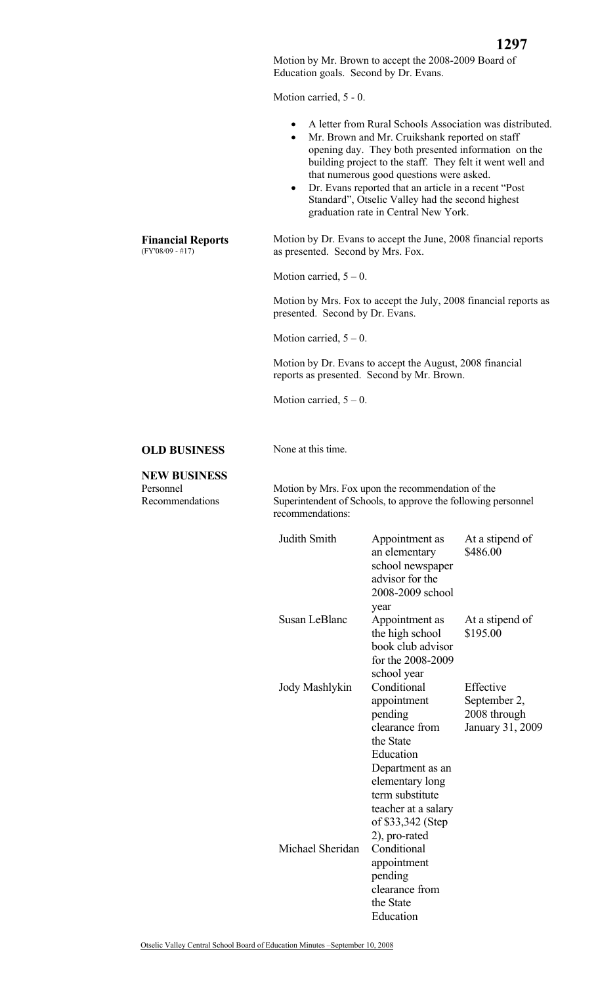Motion by Mr. Brown to accept the 2008-2009 Board of Education goals. Second by Dr. Evans.

Motion carried, 5 - 0.

- A letter from Rural Schools Association was distributed.
- Mr. Brown and Mr. Cruikshank reported on staff opening day. They both presented information on the building project to the staff. They felt it went well and that numerous good questions were asked.
- Dr. Evans reported that an article in a recent "Post Standard", Otselic Valley had the second highest graduation rate in Central New York.

 Motion by Dr. Evans to accept the June, 2008 financial reports as presented. Second by Mrs. Fox.

Motion carried,  $5 - 0$ .

Motion by Mrs. Fox to accept the July, 2008 financial reports as presented. Second by Dr. Evans.

Motion carried,  $5 - 0$ .

Motion by Dr. Evans to accept the August, 2008 financial reports as presented. Second by Mr. Brown.

Motion carried,  $5 - 0$ .

## **OLD BUSINESS** None at this time.

## **NEW BUSINESS**

Personnel Recommendations  Motion by Mrs. Fox upon the recommendation of the Superintendent of Schools, to approve the following personnel recommendations:

| Judith Smith     | Appointment as<br>an elementary<br>school newspaper<br>advisor for the<br>2008-2009 school<br>year                                                                                                       | At a stipend of<br>\$486.00                                   |
|------------------|----------------------------------------------------------------------------------------------------------------------------------------------------------------------------------------------------------|---------------------------------------------------------------|
| Susan LeBlanc    | Appointment as<br>the high school<br>book club advisor<br>for the 2008-2009<br>school year                                                                                                               | At a stipend of<br>\$195.00                                   |
| Jody Mashlykin   | Conditional<br>appointment<br>pending<br>clearance from<br>the State<br>Education<br>Department as an<br>elementary long<br>term substitute<br>teacher at a salary<br>of \$33,342 (Step<br>2), pro-rated | Effective<br>September 2,<br>2008 through<br>January 31, 2009 |
| Michael Sheridan | Conditional<br>appointment<br>pending<br>clearance from<br>the State<br>Education                                                                                                                        |                                                               |

**Financial Reports**  (FY'08/09 - #17)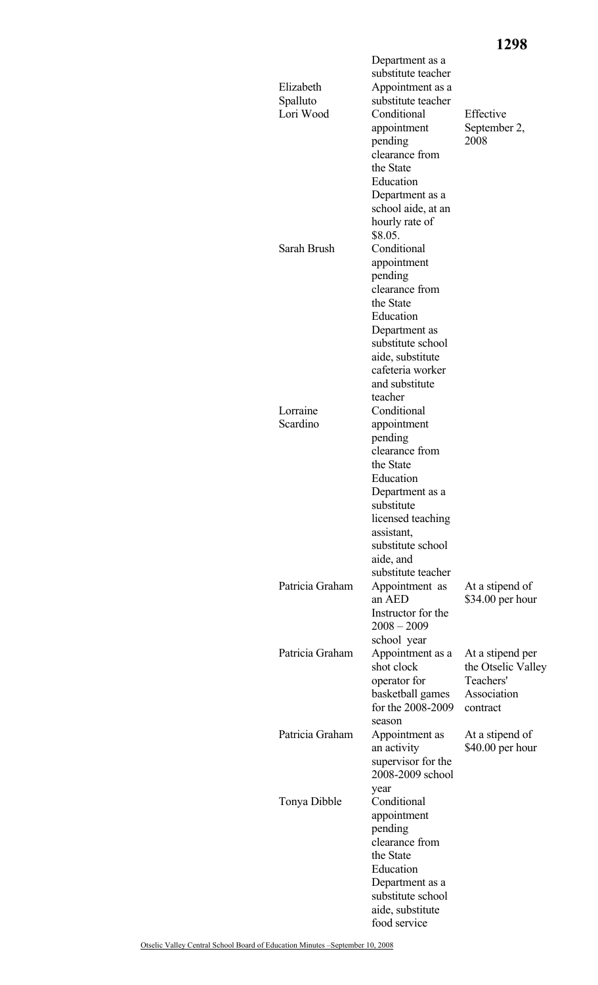## **1298**

| Elizabeth<br>Spalluto<br>Lori Wood | Department as a<br>substitute teacher<br>Appointment as a<br>substitute teacher<br>Conditional<br>appointment<br>pending<br>clearance from<br>the State<br>Education<br>Department as a<br>school aide, at an<br>hourly rate of | Effective<br>September 2,<br>2008                                              |
|------------------------------------|---------------------------------------------------------------------------------------------------------------------------------------------------------------------------------------------------------------------------------|--------------------------------------------------------------------------------|
| Sarah Brush                        | \$8.05.<br>Conditional<br>appointment<br>pending<br>clearance from<br>the State<br>Education<br>Department as<br>substitute school<br>aide, substitute<br>cafeteria worker<br>and substitute                                    |                                                                                |
| Lorraine<br>Scardino               | teacher<br>Conditional<br>appointment<br>pending<br>clearance from<br>the State<br>Education<br>Department as a<br>substitute<br>licensed teaching<br>assistant,<br>substitute school<br>aide, and                              |                                                                                |
| Patricia Graham                    | substitute teacher<br>Appointment as<br>an AED<br>Instructor for the<br>$2008 - 2009$<br>school year                                                                                                                            | At a stipend of<br>$$34.00$ per hour                                           |
| Patricia Graham                    | Appointment as a<br>shot clock<br>operator for<br>basketball games<br>for the 2008-2009<br>season                                                                                                                               | At a stipend per<br>the Otselic Valley<br>Teachers'<br>Association<br>contract |
| Patricia Graham                    | Appointment as<br>an activity<br>supervisor for the<br>2008-2009 school                                                                                                                                                         | At a stipend of<br>$$40.00$ per hour                                           |
| Tonya Dibble                       | year<br>Conditional<br>appointment<br>pending<br>clearance from<br>the State<br>Education<br>Department as a<br>substitute school<br>aide, substitute<br>food service                                                           |                                                                                |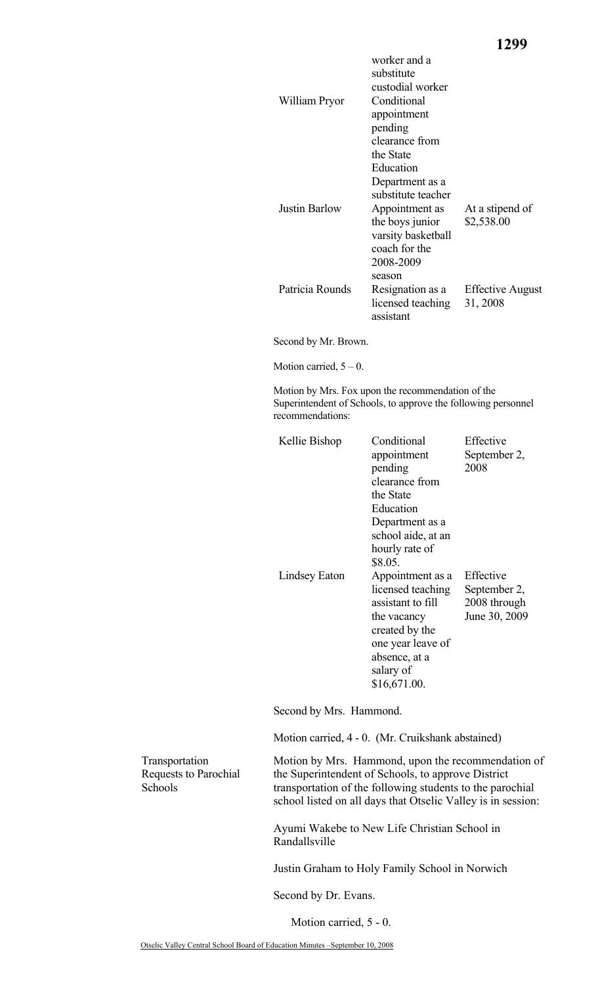| William Pryor        | worker and a<br>substitute<br>custodial worker<br>Conditional<br>appointment<br>pending<br>clearance from<br>the State                      |                                     |
|----------------------|---------------------------------------------------------------------------------------------------------------------------------------------|-------------------------------------|
| <b>Justin Barlow</b> | Education<br>Department as a<br>substitute teacher<br>Appointment as<br>the boys junior<br>varsity basketball<br>coach for the<br>2008-2009 | At a stipend of<br>\$2,538.00       |
| Patricia Rounds      | season<br>Resignation as a<br>licensed teaching<br>assistant                                                                                | <b>Effective August</b><br>31, 2008 |

Second by Mr. Brown.

Motion carried,  $5 - 0$ .

Motion by Mrs. Fox upon the recommendation of the Superintendent of Schools, to approve the following personnel recommendations:

| Kellie Bishop | Conditional<br>appointment<br>pending<br>clearance from<br>the State<br>Education<br>Department as a<br>school aide, at an<br>hourly rate of                              | Effective<br>September 2,<br>2008                          |
|---------------|---------------------------------------------------------------------------------------------------------------------------------------------------------------------------|------------------------------------------------------------|
| Lindsey Eaton | \$8.05.<br>Appointment as a<br>licensed teaching<br>assistant to fill<br>the vacancy<br>created by the<br>one year leave of<br>absence, at a<br>salary of<br>\$16,671.00. | Effective<br>September 2,<br>2008 through<br>June 30, 2009 |

Second by Mrs. Hammond.

Motion carried, 4 - 0. (Mr. Cruikshank abstained)

Transportation Requests to Parochial Schools

Motion by Mrs. Hammond, upon the recommendation of the Superintendent of Schools, to approve District transportation of the following students to the parochial school listed on all days that Otselic Valley is in session:

Ayumi Wakebe to New Life Christian School in Randallsville

Justin Graham to Holy Family School in Norwich

Second by Dr. Evans.

Motion carried, 5 - 0.